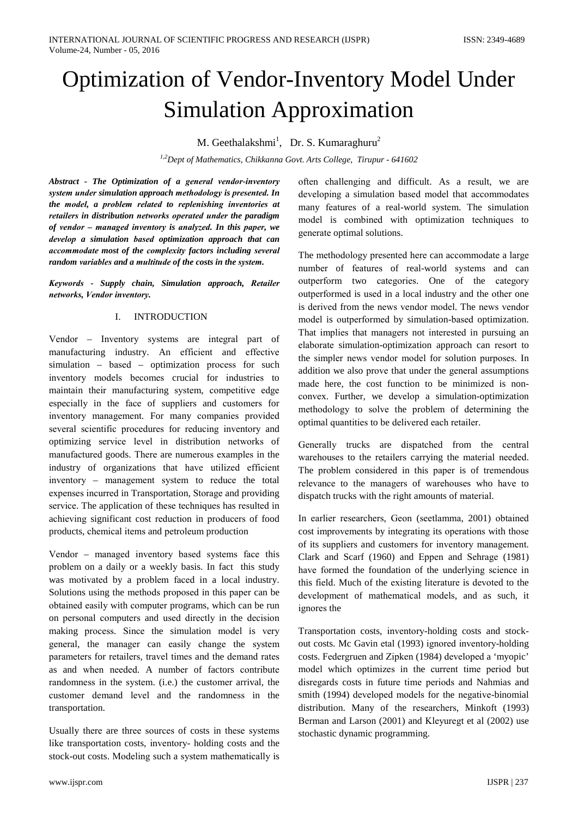# **Optimization of Vendor-Inventory Model Under Simulation Approximation**

M. Geethalakshmi<sup>1</sup>, Dr. S. Kumaraghuru<sup>2</sup>

<sup>1,2</sup>Dept of Mathematics, Chikkanna Govt. Arts College, Tirupur - 641602

Abstract - The Optimization of a general vendor-inventory system under simulation approach methodology is presented. In the model, a problem related to replenishing inventories at retailers in distribution networks operated under the paradigm of vendor - managed inventory is analyzed. In this paper, we develop a simulation based optimization approach that can accommodate most of the complexity factors including several random variables and a multitude of the costs in the system.

Keywords - Supply chain, Simulation approach, Retailer networks. Vendor inventory.

#### $\mathbf{L}$ **INTRODUCTION**

Vendor – Inventory systems are integral part of manufacturing industry. An efficient and effective simulation - based - optimization process for such inventory models becomes crucial for industries to maintain their manufacturing system, competitive edge especially in the face of suppliers and customers for inventory management. For many companies provided several scientific procedures for reducing inventory and optimizing service level in distribution networks of manufactured goods. There are numerous examples in the industry of organizations that have utilized efficient inventory – management system to reduce the total expenses incurred in Transportation, Storage and providing service. The application of these techniques has resulted in achieving significant cost reduction in producers of food products, chemical items and petroleum production

Vendor – managed inventory based systems face this problem on a daily or a weekly basis. In fact this study was motivated by a problem faced in a local industry. Solutions using the methods proposed in this paper can be obtained easily with computer programs, which can be run on personal computers and used directly in the decision making process. Since the simulation model is very general, the manager can easily change the system parameters for retailers, travel times and the demand rates as and when needed. A number of factors contribute randomness in the system. (i.e.) the customer arrival, the customer demand level and the randomness in the transportation.

Usually there are three sources of costs in these systems like transportation costs, inventory- holding costs and the stock-out costs. Modeling such a system mathematically is

often challenging and difficult. As a result, we are developing a simulation based model that accommodates many features of a real-world system. The simulation model is combined with optimization techniques to generate optimal solutions.

The methodology presented here can accommodate a large number of features of real-world systems and can outperform two categories. One of the category outperformed is used in a local industry and the other one is derived from the news vendor model. The news vendor model is outperformed by simulation-based optimization. That implies that managers not interested in pursuing an elaborate simulation-optimization approach can resort to the simpler news vendor model for solution purposes. In addition we also prove that under the general assumptions made here, the cost function to be minimized is nonconvex. Further, we develop a simulation-optimization methodology to solve the problem of determining the optimal quantities to be delivered each retailer.

Generally trucks are dispatched from the central warehouses to the retailers carrying the material needed. The problem considered in this paper is of tremendous relevance to the managers of warehouses who have to dispatch trucks with the right amounts of material.

In earlier researchers, Geon (seetlamma, 2001) obtained cost improvements by integrating its operations with those of its suppliers and customers for inventory management. Clark and Scarf (1960) and Eppen and Sehrage (1981) have formed the foundation of the underlying science in this field. Much of the existing literature is devoted to the development of mathematical models, and as such, it ignores the

Transportation costs, inventory-holding costs and stockout costs. Mc Gavin etal (1993) ignored inventory-holding costs. Federgruen and Zipken (1984) developed a 'myopic' model which optimizes in the current time period but disregards costs in future time periods and Nahmias and smith (1994) developed models for the negative-binomial distribution. Many of the researchers, Minkoft (1993) Berman and Larson (2001) and Kleyuregt et al (2002) use stochastic dynamic programming.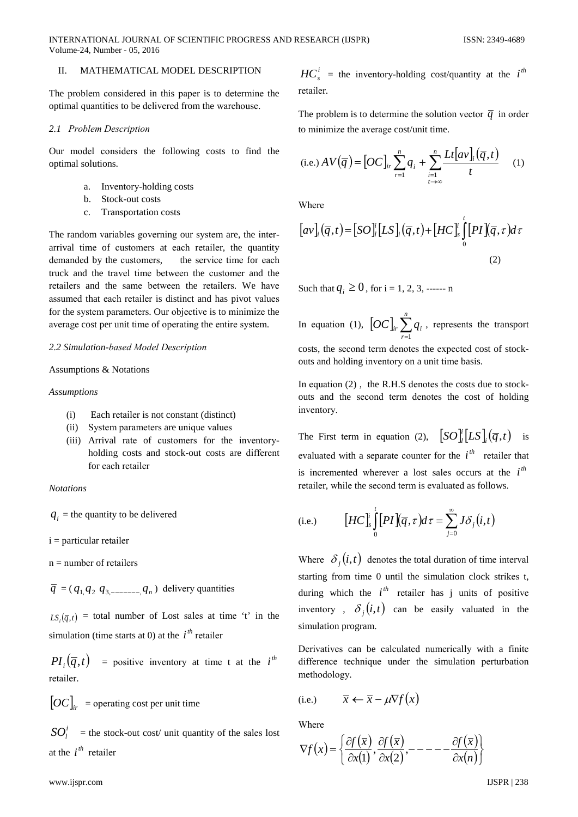#### MATHEMATICAL MODEL DESCRIPTION II.

The problem considered in this paper is to determine the optimal quantities to be delivered from the warehouse.

## 2.1 Problem Description

Our model considers the following costs to find the optimal solutions.

- a. Inventory-holding costs
- $h_{-}$ Stock-out costs
- **Transportation costs**  $\mathbf{c}$

The random variables governing our system are, the interarrival time of customers at each retailer, the quantity demanded by the customers, the service time for each truck and the travel time between the customer and the retailers and the same between the retailers. We have assumed that each retailer is distinct and has pivot values for the system parameters. Our objective is to minimize the average cost per unit time of operating the entire system.

## 2.2 Simulation-based Model Description

## **Assumptions & Notations**

## **Assumptions**

- Each retailer is not constant (distinct)  $(i)$
- System parameters are unique values  $(ii)$
- (iii) Arrival rate of customers for the inventoryholding costs and stock-out costs are different for each retailer

### **Notations**

 $q_i$  = the quantity to be delivered

 $i =$  particular retailer

 $n =$  number of retailers

 $\overline{q} = (q_1 q_2 q_3$ <sub>-------</sub>  $q_n$ ) delivery quantities

 $LS_i(\overline{q},t)$  = total number of Lost sales at time 't' in the simulation (time starts at 0) at the  $i^{th}$  retailer

 $PI_{i}(\overline{q},t)$  = positive inventory at time t at the  $i^{th}$ retailer.

 $[OC]_{ir}$  = operating cost per unit time

 $SO_i^i$  = the stock-out cost/ unit quantity of the sales lost at the  $i^{th}$  retailer

 $HC_s^i$  = the inventory-holding cost/quantity at the i<sup>th</sup> retailer.

The problem is to determine the solution vector  $\overline{q}$  in order to minimize the average cost/unit time.

(i.e.) 
$$
AV(\overline{q}) = [OC]_{ir} \sum_{r=1}^{n} q_i + \sum_{\substack{i=1 \ i \to \infty}}^{n} \frac{Lt[av]_i(\overline{q}, t)}{t}
$$
 (1)

Where

$$
[av]_i(\overline{q},t) = [SO]_i^t [LS]_i(\overline{q},t) + [HC]_s^t \int_0^t [PI](\overline{q},\tau) d\tau
$$
\n(2)

Such that  $q_i \ge 0$ , for i = 1, 2, 3, ------ n

In equation (1),  $[OC]_{ir} \sum_{i=1}^{n} q_i$ , represents the transport

costs, the second term denotes the expected cost of stockouts and holding inventory on a unit time basis.

In equation  $(2)$ , the R.H.S denotes the costs due to stockouts and the second term denotes the cost of holding inventory.

The First term in equation (2),  $[SO_{\nu}^{\dagger}[LS_{\nu}(\overline{q},t)]$  is evaluated with a separate counter for the  $i^{th}$  retailer that is incremented wherever a lost sales occurs at the  $i<sup>th</sup>$ retailer, while the second term is evaluated as follows.

(i.e.) 
$$
\left[HC\right]_s^i \int\limits_0^t \left[PI\right](\overline{q}, \tau) d\tau = \sum_{j=0}^\infty J \delta_j(i, t)
$$

Where  $\delta_i(i,t)$  denotes the total duration of time interval starting from time 0 until the simulation clock strikes t, during which the  $i^{th}$  retailer has j units of positive inventory,  $\delta_i(i,t)$  can be easily valuated in the simulation program.

Derivatives can be calculated numerically with a finite difference technique under the simulation perturbation methodology.

(i.e.) 
$$
\overline{x} \leftarrow \overline{x} - \mu \nabla f(x)
$$

Where

$$
\nabla f(x) = \left\{ \frac{\partial f(\overline{x})}{\partial x(1)}, \frac{\partial f(\overline{x})}{\partial x(2)}, \cdots - - - \frac{\partial f(\overline{x})}{\partial x(n)} \right\}
$$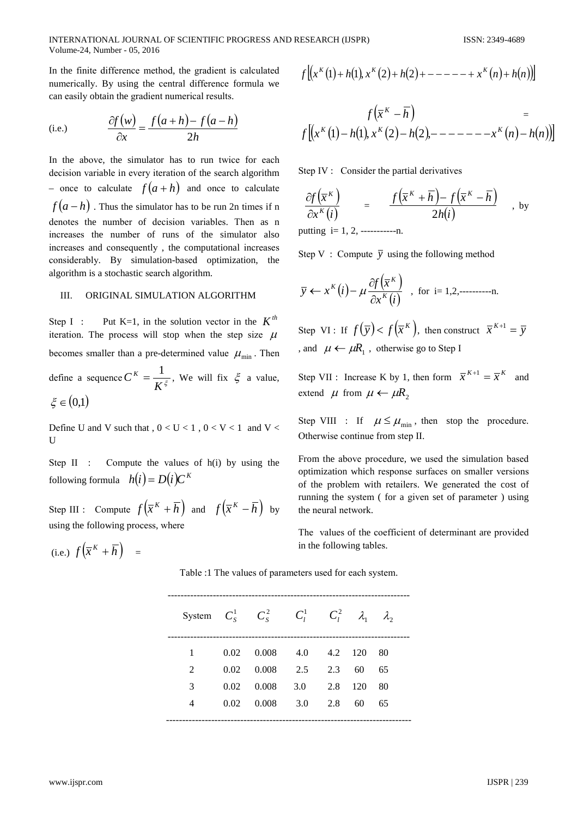INTERNATIONAL JOURNAL OF SCIENTIFIC PROGRESS AND RESEARCH (IJSPR) Volume-24, Number - 05, 2016

In the finite difference method, the gradient is calculated numerically. By using the central difference formula we can easily obtain the gradient numerical results.

(i.e.) 
$$
\frac{\partial f(w)}{\partial x} = \frac{f(a+h) - f(a-h)}{2h}
$$

In the above, the simulator has to run twice for each decision variable in every iteration of the search algorithm - once to calculate  $f(a+h)$  and once to calculate  $f(a-h)$ . Thus the simulator has to be run 2n times if n denotes the number of decision variables. Then as n increases the number of runs of the simulator also increases and consequently, the computational increases considerably. By simulation-based optimization, the algorithm is a stochastic search algorithm.

#### ORIGINAL SIMULATION ALGORITHM III.

Put K=1, in the solution vector in the  $K^{th}$ Step I: iteration. The process will stop when the step size  $\mu$ becomes smaller than a pre-determined value  $\mu_{\min}$ . Then define a sequence  $C^{K} = \frac{1}{K^{\xi}}$ , We will fix  $\xi$  a value,  $\xi \in (0,1)$ 

Define U and V such that,  $0 < U < 1$ ,  $0 < V < 1$  and V <  $\mathbf U$ 

Compute the values of h(i) by using the Step II : following formula  $h(i) = D(i)C^{K}$ 

Step III : Compute  $f(\overline{x}^K + \overline{h})$  and  $f(\overline{x}^K - \overline{h})$  by using the following process, where

(i.e.) 
$$
f\left(\overline{x}^K + \overline{h}\right) =
$$

$$
f[(x^{k}(1) + h(1), x^{k}(2) + h(2) + - - - - + x^{k}(n) + h(n))]
$$

$$
f(\overline{x}^{K} - \overline{h}) =
$$
  

$$
f[(x^{K}(1) - h(1), x^{K}(2) - h(2), - - - - - -x^{K}(n) - h(n))]
$$

Step IV : Consider the partial derivatives

$$
\frac{\partial f(\overline{x}^K)}{\partial x^K(i)} = \frac{f(\overline{x}^K + \overline{h}) - f(\overline{x}^K - \overline{h})}{2h(i)} \text{, by}
$$

putting  $i=1, 2,$  ------------n.

Step V: Compute  $\overline{y}$  using the following method

$$
\overline{y} \leftarrow x^{K}(i) - \mu \frac{\partial f(\overline{x}^{K})}{\partial x^{K}(i)}
$$
, for i=1,2,........n.

Step VI: If  $f(\overline{y}) < f(\overline{x}^K)$ , then construct  $\overline{x}^{K+1} = \overline{y}$ , and  $\mu \leftarrow \mu R_1$ , otherwise go to Step I

Step VII : Increase K by 1, then form  $\bar{x}^{K+1} = \bar{x}^K$ and extend  $\mu$  from  $\mu \leftarrow \mu R$ ,

Step VIII : If  $\mu \le \mu_{\min}$ , then stop the procedure. Otherwise continue from step II.

From the above procedure, we used the simulation based optimization which response surfaces on smaller versions of the problem with retailers. We generated the cost of running the system (for a given set of parameter) using the neural network.

The values of the coefficient of determinant are provided in the following tables.

Table :1 The values of parameters used for each system.

|              |      | System $C_S^1$ $C_S^2$ $C_l^1$ $C_l^2$ $\lambda_1$ $\lambda_2$ |                 |     |    |  |
|--------------|------|----------------------------------------------------------------|-----------------|-----|----|--|
| $\mathbf{1}$ | 0.02 | $0.008$ 4.0 4.2 120                                            |                 |     | 80 |  |
| 2            | 0.02 |                                                                | $0.008$ 2.5 2.3 | 60  | 65 |  |
| 3            | 0.02 | 0.008                                                          | 3.0 2.8         | 120 | 80 |  |
| 4            | 0.02 | 0.008                                                          | 3.0 2.8         | 60  | 65 |  |
|              |      |                                                                |                 |     |    |  |